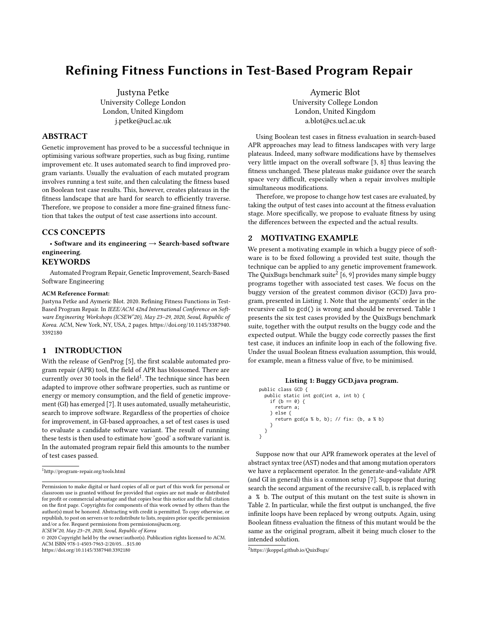# Refining Fitness Functions in Test-Based Program Repair

Justyna Petke University College London London, United Kingdom j.petke@ucl.ac.uk

## ABSTRACT

Genetic improvement has proved to be a successful technique in optimising various software properties, such as bug fixing, runtime improvement etc. It uses automated search to find improved program variants. Usually the evaluation of each mutated program involves running a test suite, and then calculating the fitness based on Boolean test case results. This, however, creates plateaus in the fitness landscape that are hard for search to efficiently traverse. Therefore, we propose to consider a more fine-grained fitness function that takes the output of test case assertions into account.

## CCS CONCEPTS

• Software and its engineering  $\rightarrow$  Search-based software engineering.

## **KEYWORDS**

Automated Program Repair, Genetic Improvement, Search-Based Software Engineering

#### ACM Reference Format:

Justyna Petke and Aymeric Blot. 2020. Refining Fitness Functions in Test-Based Program Repair. In IEEE/ACM 42nd International Conference on Software Engineering Workshops (ICSEW'20), May 23–29, 2020, Seoul, Republic of Korea. ACM, New York, NY, USA, [2](#page-1-0) pages. [https://doi.org/10.1145/3387940.](https://doi.org/10.1145/3387940.3392180) [3392180](https://doi.org/10.1145/3387940.3392180)

## 1 INTRODUCTION

With the release of GenProg [\[5\]](#page-1-1), the first scalable automated program repair (APR) tool, the field of APR has blossomed. There are currently over 30 tools in the field<sup>[1](#page-0-0)</sup>. The technique since has been adapted to improve other software properties, such as runtime or energy or memory consumption, and the field of genetic improvement (GI) has emerged [\[7\]](#page-1-2). It uses automated, usually metaheuristic, search to improve software. Regardless of the properties of choice for improvement, in GI-based approaches, a set of test cases is used to evaluate a candidate software variant. The result of running these tests is then used to estimate how 'good' a software variant is. In the automated program repair field this amounts to the number of test cases passed.

ICSEW'20, May 23–29, 2020, Seoul, Republic of Korea

© 2020 Copyright held by the owner/author(s). Publication rights licensed to ACM. ACM ISBN 978-1-4503-7963-2/20/05. . . \$15.00 <https://doi.org/10.1145/3387940.3392180>

Aymeric Blot University College London London, United Kingdom a.blot@cs.ucl.ac.uk

Using Boolean test cases in fitness evaluation in search-based APR approaches may lead to fitness landscapes with very large plateaus. Indeed, many software modifications have by themselves very little impact on the overall software [\[3,](#page-1-3) [8\]](#page-1-4) thus leaving the fitness unchanged. These plateaus make guidance over the search space very difficult, especially when a repair involves multiple simultaneous modifications.

Therefore, we propose to change how test cases are evaluated, by taking the output of test cases into account at the fitness evaluation stage. More specifically, we propose to evaluate fitness by using the differences between the expected and the actual results.

## 2 MOTIVATING EXAMPLE

We present a motivating example in which a buggy piece of software is to be fixed following a provided test suite, though the technique can be applied to any genetic improvement framework. The QuixBugs benchmark suite $^2$  $^2$  [\[6,](#page-1-5) [9\]](#page-1-6) provides many simple buggy programs together with associated test cases. We focus on the buggy version of the greatest common divisor (GCD) Java program, presented in Listing [1.](#page-0-2) Note that the arguments' order in the recursive call to gcd() is wrong and should be reversed. Table [1](#page-1-7) presents the six test cases provided by the QuixBugs benchmark suite, together with the output results on the buggy code and the expected output. While the buggy code correctly passes the first test case, it induces an infinite loop in each of the following five. Under the usual Boolean fitness evaluation assumption, this would, for example, mean a fitness value of five, to be minimised.

#### Listing 1: Buggy GCD.java program.

```
public class GCD {
  public static int gcd(int a, int b) {
    if (b == 0) {
      return a;
    } else {
      return gcd(a % b, b); // fix: (b, a % b)
    }
}
}
```
Suppose now that our APR framework operates at the level of abstract syntax tree (AST) nodes and that among mutation operators we have a replacement operator. In the generate-and-validate APR (and GI in general) this is a common setup [\[7\]](#page-1-2). Suppose that during search the second argument of the recursive call, b, is replaced with a % b. The output of this mutant on the test suite is shown in Table [2.](#page-1-8) In particular, while the first output is unchanged, the five infinite loops have been replaced by wrong outputs. Again, using Boolean fitness evaluation the fitness of this mutant would be the same as the original program, albeit it being much closer to the intended solution.

<span id="page-0-0"></span> $^1$ <http://program-repair.org/tools.html>

Permission to make digital or hard copies of all or part of this work for personal or classroom use is granted without fee provided that copies are not made or distributed for profit or commercial advantage and that copies bear this notice and the full citation on the first page. Copyrights for components of this work owned by others than the author(s) must be honored. Abstracting with credit is permitted. To copy otherwise, or republish, to post on servers or to redistribute to lists, requires prior specific permission and/or a fee. Request permissions from permissions@acm.org.

<span id="page-0-1"></span><sup>2</sup><https://jkoppel.github.io/QuixBugs/>